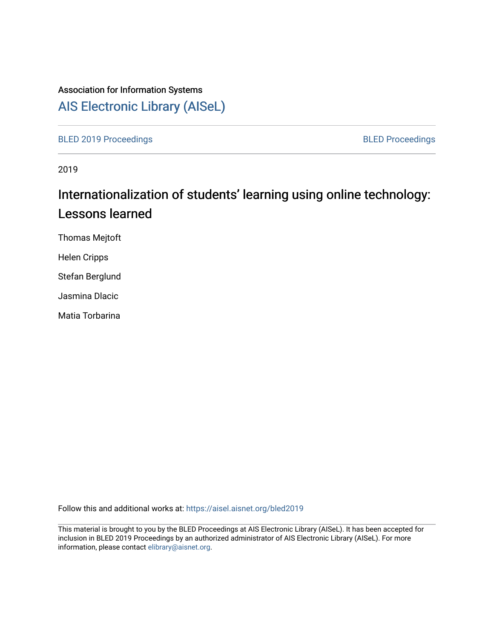## Association for Information Systems

# [AIS Electronic Library \(AISeL\)](https://aisel.aisnet.org/)

[BLED 2019 Proceedings](https://aisel.aisnet.org/bled2019) **BLED Proceedings** 

2019

# Internationalization of students' learning using online technology: Lessons learned

Thomas Mejtoft

Helen Cripps

Stefan Berglund

Jasmina Dlacic

Matia Torbarina

Follow this and additional works at: [https://aisel.aisnet.org/bled2019](https://aisel.aisnet.org/bled2019?utm_source=aisel.aisnet.org%2Fbled2019%2F2&utm_medium=PDF&utm_campaign=PDFCoverPages) 

This material is brought to you by the BLED Proceedings at AIS Electronic Library (AISeL). It has been accepted for inclusion in BLED 2019 Proceedings by an authorized administrator of AIS Electronic Library (AISeL). For more information, please contact [elibrary@aisnet.org.](mailto:elibrary@aisnet.org%3E)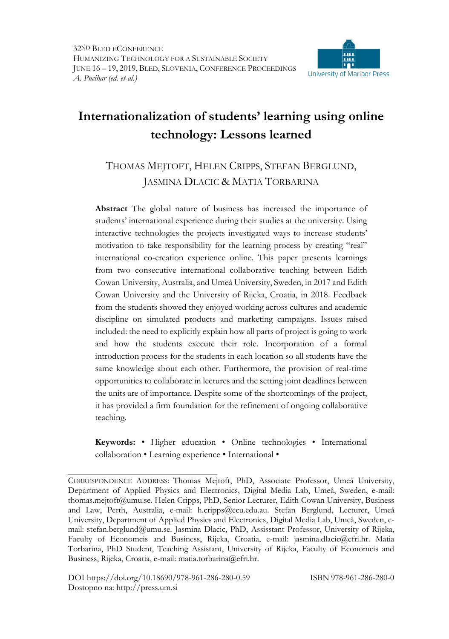

## **Internationalization of students' learning using online technology: Lessons learned**

### THOMAS MEJTOFT, HELEN CRIPPS, STEFAN BERGLUND, JASMINA DLACIC & MATIA TORBARINA

**Abstract** The global nature of business has increased the importance of students' international experience during their studies at the university. Using interactive technologies the projects investigated ways to increase students' motivation to take responsibility for the learning process by creating "real" international co-creation experience online. This paper presents learnings from two consecutive international collaborative teaching between Edith Cowan University, Australia, and Umeå University, Sweden, in 2017 and Edith Cowan University and the University of Rijeka, Croatia, in 2018. Feedback from the students showed they enjoyed working across cultures and academic discipline on simulated products and marketing campaigns. Issues raised included: the need to explicitly explain how all parts of project is going to work and how the students execute their role. Incorporation of a formal introduction process for the students in each location so all students have the same knowledge about each other. Furthermore, the provision of real-time opportunities to collaborate in lectures and the setting joint deadlines between the units are of importance. Despite some of the shortcomings of the project, it has provided a firm foundation for the refinement of ongoing collaborative teaching.

**Keywords:** • Higher education • Online technologies • International collaboration • Learning experience • International •

CORRESPONDENCE ADDRESS: Thomas Mejtoft, PhD, Associate Professor, Umeå University, Department of Applied Physics and Electronics, Digital Media Lab, Umeå, Sweden, e-mail: thomas.mejtoft@umu.se. Helen Cripps, PhD, Senior Lecturer, Edith Cowan University, Business and Law, Perth, Australia, e-mail: h.cripps@ecu.edu.au. Stefan Berglund, Lecturer, Umeå University, Department of Applied Physics and Electronics, Digital Media Lab, Umeå, Sweden, email: stefan.berglund@umu.se. Jasmina Dlacic, PhD, Assisstant Professor, University of Rijeka, Faculty of Economcis and Business, Rijeka, Croatia, e-mail: jasmina.dlacic@efri.hr. Matia Torbarina, PhD Student, Teaching Assistant, University of Rijeka, Faculty of Economcis and Business, Rijeka, Croatia, e-mail: matia.torbarina@efri.hr.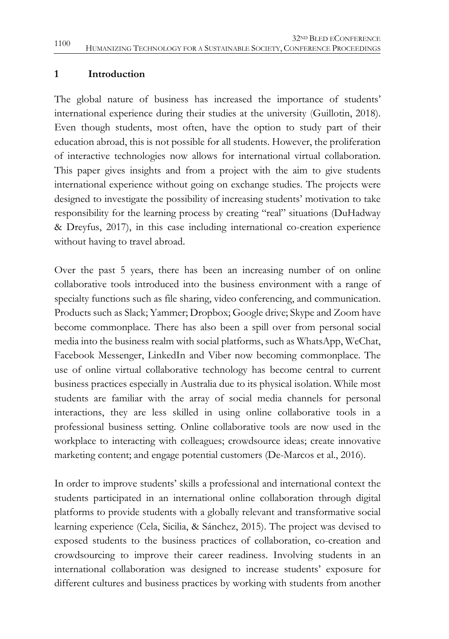#### **1 Introduction**

The global nature of business has increased the importance of students' international experience during their studies at the university (Guillotin, 2018). Even though students, most often, have the option to study part of their education abroad, this is not possible for all students. However, the proliferation of interactive technologies now allows for international virtual collaboration. This paper gives insights and from a project with the aim to give students international experience without going on exchange studies. The projects were designed to investigate the possibility of increasing students' motivation to take responsibility for the learning process by creating "real" situations (DuHadway & Dreyfus, 2017), in this case including international co-creation experience without having to travel abroad.

Over the past 5 years, there has been an increasing number of on online collaborative tools introduced into the business environment with a range of specialty functions such as file sharing, video conferencing, and communication. Products such as Slack; Yammer; Dropbox; Google drive; Skype and Zoom have become commonplace. There has also been a spill over from personal social media into the business realm with social platforms, such as WhatsApp, WeChat, Facebook Messenger, LinkedIn and Viber now becoming commonplace. The use of online virtual collaborative technology has become central to current business practices especially in Australia due to its physical isolation. While most students are familiar with the array of social media channels for personal interactions, they are less skilled in using online collaborative tools in a professional business setting. Online collaborative tools are now used in the workplace to interacting with colleagues; crowdsource ideas; create innovative marketing content; and engage potential customers (De-Marcos et al., 2016).

In order to improve students' skills a professional and international context the students participated in an international online collaboration through digital platforms to provide students with a globally relevant and transformative social learning experience (Cela, Sicilia, & Sánchez, 2015). The project was devised to exposed students to the business practices of collaboration, co-creation and crowdsourcing to improve their career readiness. Involving students in an international collaboration was designed to increase students' exposure for different cultures and business practices by working with students from another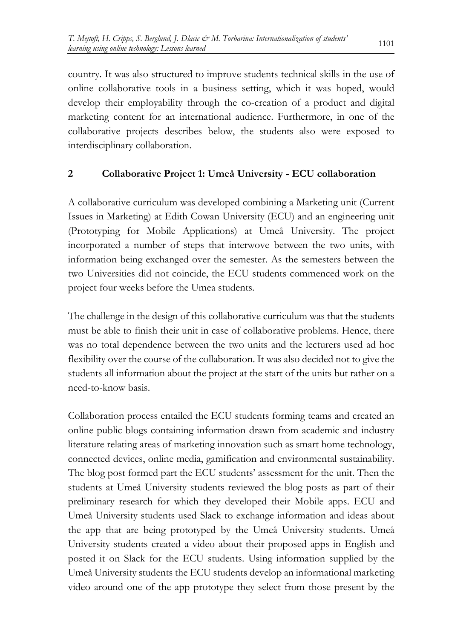country. It was also structured to improve students technical skills in the use of online collaborative tools in a business setting, which it was hoped, would develop their employability through the co-creation of a product and digital marketing content for an international audience. Furthermore, in one of the collaborative projects describes below, the students also were exposed to interdisciplinary collaboration.

#### **2 Collaborative Project 1: Umeå University - ECU collaboration**

A collaborative curriculum was developed combining a Marketing unit (Current Issues in Marketing) at Edith Cowan University (ECU) and an engineering unit (Prototyping for Mobile Applications) at Umeå University. The project incorporated a number of steps that interwove between the two units, with information being exchanged over the semester. As the semesters between the two Universities did not coincide, the ECU students commenced work on the project four weeks before the Umea students.

The challenge in the design of this collaborative curriculum was that the students must be able to finish their unit in case of collaborative problems. Hence, there was no total dependence between the two units and the lecturers used ad hoc flexibility over the course of the collaboration. It was also decided not to give the students all information about the project at the start of the units but rather on a need-to-know basis.

Collaboration process entailed the ECU students forming teams and created an online public blogs containing information drawn from academic and industry literature relating areas of marketing innovation such as smart home technology, connected devices, online media, gamification and environmental sustainability. The blog post formed part the ECU students' assessment for the unit. Then the students at Umeå University students reviewed the blog posts as part of their preliminary research for which they developed their Mobile apps. ECU and Umeå University students used Slack to exchange information and ideas about the app that are being prototyped by the Umeå University students. Umeå University students created a video about their proposed apps in English and posted it on Slack for the ECU students. Using information supplied by the Umeå University students the ECU students develop an informational marketing video around one of the app prototype they select from those present by the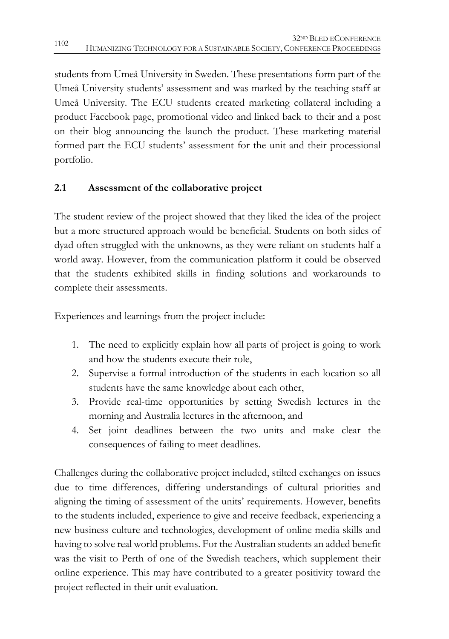students from Umeå University in Sweden. These presentations form part of the Umeå University students' assessment and was marked by the teaching staff at Umeå University. The ECU students created marketing collateral including a product Facebook page, promotional video and linked back to their and a post on their blog announcing the launch the product. These marketing material formed part the ECU students' assessment for the unit and their processional portfolio.

#### **2.1 Assessment of the collaborative project**

The student review of the project showed that they liked the idea of the project but a more structured approach would be beneficial. Students on both sides of dyad often struggled with the unknowns, as they were reliant on students half a world away. However, from the communication platform it could be observed that the students exhibited skills in finding solutions and workarounds to complete their assessments.

Experiences and learnings from the project include:

- 1. The need to explicitly explain how all parts of project is going to work and how the students execute their role,
- 2. Supervise a formal introduction of the students in each location so all students have the same knowledge about each other,
- 3. Provide real-time opportunities by setting Swedish lectures in the morning and Australia lectures in the afternoon, and
- 4. Set joint deadlines between the two units and make clear the consequences of failing to meet deadlines.

Challenges during the collaborative project included, stilted exchanges on issues due to time differences, differing understandings of cultural priorities and aligning the timing of assessment of the units' requirements. However, benefits to the students included, experience to give and receive feedback, experiencing a new business culture and technologies, development of online media skills and having to solve real world problems. For the Australian students an added benefit was the visit to Perth of one of the Swedish teachers, which supplement their online experience. This may have contributed to a greater positivity toward the project reflected in their unit evaluation.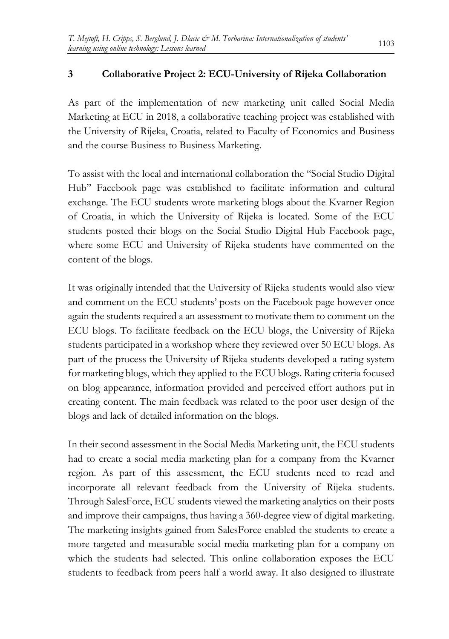#### **3 Collaborative Project 2: ECU-University of Rijeka Collaboration**

As part of the implementation of new marketing unit called Social Media Marketing at ECU in 2018, a collaborative teaching project was established with the University of Rijeka, Croatia, related to Faculty of Economics and Business and the course Business to Business Marketing.

To assist with the local and international collaboration the "Social Studio Digital Hub" Facebook page was established to facilitate information and cultural exchange. The ECU students wrote marketing blogs about the Kvarner Region of Croatia, in which the University of Rijeka is located. Some of the ECU students posted their blogs on the Social Studio Digital Hub Facebook page, where some ECU and University of Rijeka students have commented on the content of the blogs.

It was originally intended that the University of Rijeka students would also view and comment on the ECU students' posts on the Facebook page however once again the students required a an assessment to motivate them to comment on the ECU blogs. To facilitate feedback on the ECU blogs, the University of Rijeka students participated in a workshop where they reviewed over 50 ECU blogs. As part of the process the University of Rijeka students developed a rating system for marketing blogs, which they applied to the ECU blogs. Rating criteria focused on blog appearance, information provided and perceived effort authors put in creating content. The main feedback was related to the poor user design of the blogs and lack of detailed information on the blogs.

In their second assessment in the Social Media Marketing unit, the ECU students had to create a social media marketing plan for a company from the Kvarner region. As part of this assessment, the ECU students need to read and incorporate all relevant feedback from the University of Rijeka students. Through SalesForce, ECU students viewed the marketing analytics on their posts and improve their campaigns, thus having a 360-degree view of digital marketing. The marketing insights gained from SalesForce enabled the students to create a more targeted and measurable social media marketing plan for a company on which the students had selected. This online collaboration exposes the ECU students to feedback from peers half a world away. It also designed to illustrate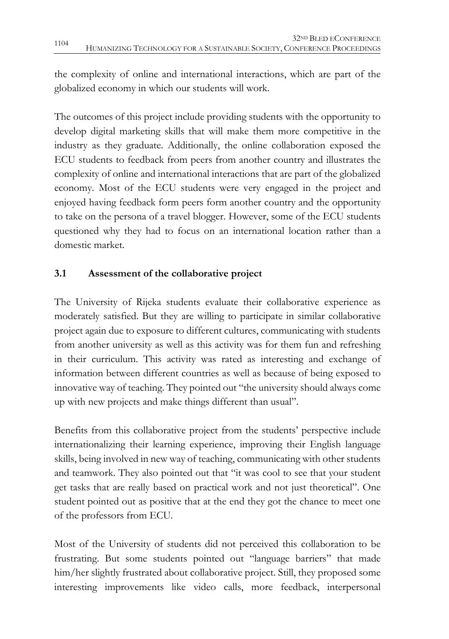the complexity of online and international interactions, which are part of the globalized economy in which our students will work.

The outcomes of this project include providing students with the opportunity to develop digital marketing skills that will make them more competitive in the industry as they graduate. Additionally, the online collaboration exposed the ECU students to feedback from peers from another country and illustrates the complexity of online and international interactions that are part of the globalized economy. Most of the ECU students were very engaged in the project and enjoyed having feedback form peers form another country and the opportunity to take on the persona of a travel blogger. However, some of the ECU students questioned why they had to focus on an international location rather than a domestic market.

#### **3.1 Assessment of the collaborative project**

The University of Rijeka students evaluate their collaborative experience as moderately satisfied. But they are willing to participate in similar collaborative project again due to exposure to different cultures, communicating with students from another university as well as this activity was for them fun and refreshing in their curriculum. This activity was rated as interesting and exchange of information between different countries as well as because of being exposed to innovative way of teaching. They pointed out "the university should always come up with new projects and make things different than usual".

Benefits from this collaborative project from the students' perspective include internationalizing their learning experience, improving their English language skills, being involved in new way of teaching, communicating with other students and teamwork. They also pointed out that "it was cool to see that your student get tasks that are really based on practical work and not just theoretical". One student pointed out as positive that at the end they got the chance to meet one of the professors from ECU.

Most of the University of students did not perceived this collaboration to be frustrating. But some students pointed out "language barriers" that made him/her slightly frustrated about collaborative project. Still, they proposed some interesting improvements like video calls, more feedback, interpersonal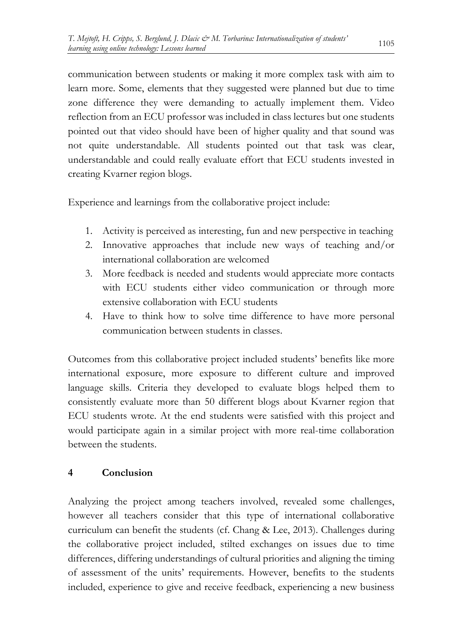communication between students or making it more complex task with aim to learn more. Some, elements that they suggested were planned but due to time zone difference they were demanding to actually implement them. Video reflection from an ECU professor was included in class lectures but one students pointed out that video should have been of higher quality and that sound was not quite understandable. All students pointed out that task was clear, understandable and could really evaluate effort that ECU students invested in creating Kvarner region blogs.

Experience and learnings from the collaborative project include:

- 1. Activity is perceived as interesting, fun and new perspective in teaching
- 2. Innovative approaches that include new ways of teaching and/or international collaboration are welcomed
- 3. More feedback is needed and students would appreciate more contacts with ECU students either video communication or through more extensive collaboration with ECU students
- 4. Have to think how to solve time difference to have more personal communication between students in classes.

Outcomes from this collaborative project included students' benefits like more international exposure, more exposure to different culture and improved language skills. Criteria they developed to evaluate blogs helped them to consistently evaluate more than 50 different blogs about Kvarner region that ECU students wrote. At the end students were satisfied with this project and would participate again in a similar project with more real-time collaboration between the students.

#### **4 Conclusion**

Analyzing the project among teachers involved, revealed some challenges, however all teachers consider that this type of international collaborative curriculum can benefit the students (cf. Chang & Lee, 2013). Challenges during the collaborative project included, stilted exchanges on issues due to time differences, differing understandings of cultural priorities and aligning the timing of assessment of the units' requirements. However, benefits to the students included, experience to give and receive feedback, experiencing a new business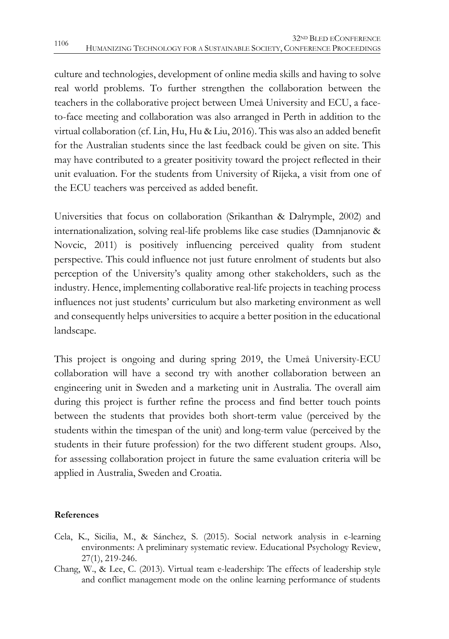culture and technologies, development of online media skills and having to solve real world problems. To further strengthen the collaboration between the teachers in the collaborative project between Umeå University and ECU, a faceto-face meeting and collaboration was also arranged in Perth in addition to the virtual collaboration (cf. Lin, Hu, Hu & Liu, 2016). This was also an added benefit for the Australian students since the last feedback could be given on site. This may have contributed to a greater positivity toward the project reflected in their unit evaluation. For the students from University of Rijeka, a visit from one of the ECU teachers was perceived as added benefit.

Universities that focus on collaboration (Srikanthan & Dalrymple, 2002) and internationalization, solving real-life problems like case studies (Damnjanovic & Novcic, 2011) is positively influencing perceived quality from student perspective. This could influence not just future enrolment of students but also perception of the University's quality among other stakeholders, such as the industry. Hence, implementing collaborative real-life projects in teaching process influences not just students' curriculum but also marketing environment as well and consequently helps universities to acquire a better position in the educational landscape.

This project is ongoing and during spring 2019, the Umeå University-ECU collaboration will have a second try with another collaboration between an engineering unit in Sweden and a marketing unit in Australia. The overall aim during this project is further refine the process and find better touch points between the students that provides both short-term value (perceived by the students within the timespan of the unit) and long-term value (perceived by the students in their future profession) for the two different student groups. Also, for assessing collaboration project in future the same evaluation criteria will be applied in Australia, Sweden and Croatia.

#### **References**

- Cela, K., Sicilia, M., & Sánchez, S. (2015). Social network analysis in e-learning environments: A preliminary systematic review. Educational Psychology Review, 27(1), 219-246.
- Chang, W., & Lee, C. (2013). Virtual team e-leadership: The effects of leadership style and conflict management mode on the online learning performance of students